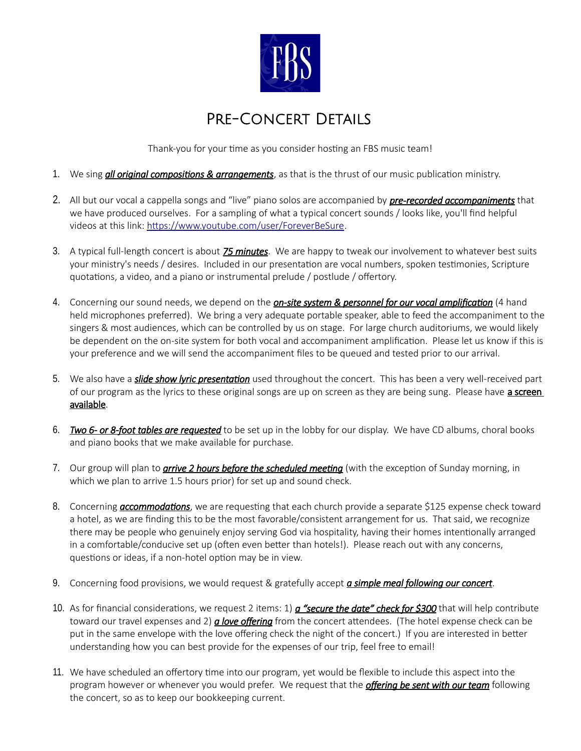

## Pre-Concert Details

Thank-you for your time as you consider hosting an FBS music team!

- 1. We sing *all original compositions & arrangements*, as that is the thrust of our music publication ministry.
- 2. All but our vocal a cappella songs and "live" piano solos are accompanied by *pre-recorded accompaniments* that we have produced ourselves. For a sampling of what a typical concert sounds / looks like, you'll find helpful videos at this link: [https://www.youtube.com/user/ForeverBeSure.](https://www.youtube.com/user/ForeverBeSure)
- 3. A typical full-length concert is about *75 minutes*. We are happy to tweak our involvement to whatever best suits your ministry's needs / desires. Included in our presentation are vocal numbers, spoken testimonies, Scripture quotations, a video, and a piano or instrumental prelude / postlude / offertory.
- 4. Concerning our sound needs, we depend on the *on-site system & personnel for our vocal amplification* (4 hand held microphones preferred). We bring a very adequate portable speaker, able to feed the accompaniment to the singers & most audiences, which can be controlled by us on stage. For large church auditoriums, we would likely be dependent on the on-site system for both vocal and accompaniment amplification. Please let us know if this is your preference and we will send the accompaniment files to be queued and tested prior to our arrival.
- 5. We also have a *slide show lyric presentation* used throughout the concert. This has been a very well-received part of our program as the lyrics to these original songs are up on screen as they are being sung. Please have a screen available.
- 6. *Two 6- or 8-foot tables are requested* to be set up in the lobby for our display. We have CD albums, choral books and piano books that we make available for purchase.
- 7. Our group will plan to *arrive 2 hours before the scheduled meeting* (with the exception of Sunday morning, in which we plan to arrive 1.5 hours prior) for set up and sound check.
- 8. Concerning *accommodations*, we are requesting that each church provide a separate \$125 expense check toward a hotel, as we are finding this to be the most favorable/consistent arrangement for us. That said, we recognize there may be people who genuinely enjoy serving God via hospitality, having their homes intentionally arranged in a comfortable/conducive set up (often even better than hotels!). Please reach out with any concerns, questions or ideas, if a non-hotel option may be in view.
- 9. Concerning food provisions, we would request & gratefully accept *a simple meal following our concert*.
- 10. As for financial considerations, we request 2 items: 1) *a "secure the date" check for \$300* that will help contribute toward our travel expenses and 2) *a love offering* from the concert attendees. (The hotel expense check can be put in the same envelope with the love offering check the night of the concert.) If you are interested in better understanding how you can best provide for the expenses of our trip, feel free to email!
- 11. We have scheduled an offertory time into our program, yet would be flexible to include this aspect into the program however or whenever you would prefer. We request that the *offering be sent with our team* following the concert, so as to keep our bookkeeping current.